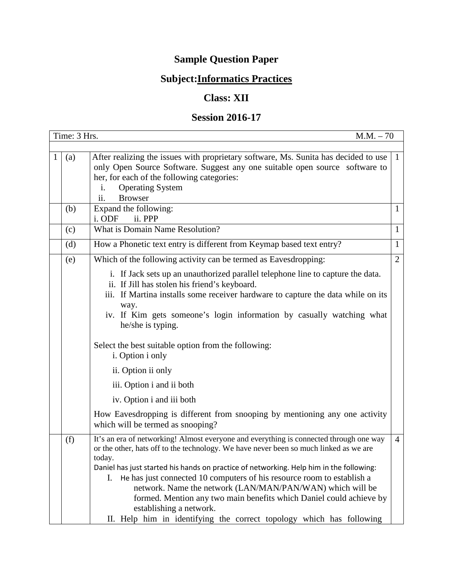## **Sample Question Paper**

## **Subject:Informatics Practices**

## **Class: XII**

## **Session 2016-17**

|   | Time: 3 Hrs. | $M.M. - 70$                                                                                                                                                                                                                                                                                                                                                                                                                                                                                                                                                                                                 |                |
|---|--------------|-------------------------------------------------------------------------------------------------------------------------------------------------------------------------------------------------------------------------------------------------------------------------------------------------------------------------------------------------------------------------------------------------------------------------------------------------------------------------------------------------------------------------------------------------------------------------------------------------------------|----------------|
| 1 | (a)          | After realizing the issues with proprietary software, Ms. Sunita has decided to use<br>only Open Source Software. Suggest any one suitable open source software to<br>her, for each of the following categories:<br><b>Operating System</b><br>i.<br><b>Browser</b><br>ii.                                                                                                                                                                                                                                                                                                                                  | $\mathbf{1}$   |
|   | (b)          | Expand the following:<br>ii. PPP<br>i. ODF                                                                                                                                                                                                                                                                                                                                                                                                                                                                                                                                                                  | 1              |
|   | (c)          | What is Domain Name Resolution?                                                                                                                                                                                                                                                                                                                                                                                                                                                                                                                                                                             | $\mathbf{1}$   |
|   | (d)          | How a Phonetic text entry is different from Keymap based text entry?                                                                                                                                                                                                                                                                                                                                                                                                                                                                                                                                        | $\mathbf{1}$   |
|   | (e)          | Which of the following activity can be termed as Eavesdropping:                                                                                                                                                                                                                                                                                                                                                                                                                                                                                                                                             | $\overline{2}$ |
|   |              | i. If Jack sets up an unauthorized parallel telephone line to capture the data.<br>ii. If Jill has stolen his friend's keyboard.<br>iii. If Martina installs some receiver hardware to capture the data while on its<br>way.<br>iv. If Kim gets someone's login information by casually watching what<br>he/she is typing.<br>Select the best suitable option from the following:<br>i. Option i only<br>ii. Option ii only<br>iii. Option i and ii both<br>iv. Option i and iii both<br>How Eavesdropping is different from snooping by mentioning any one activity<br>which will be termed as snooping?   |                |
|   | (f)          | It's an era of networking! Almost everyone and everything is connected through one way<br>or the other, hats off to the technology. We have never been so much linked as we are<br>today.<br>Daniel has just started his hands on practice of networking. Help him in the following:<br>He has just connected 10 computers of his resource room to establish a<br>Ι.<br>network. Name the network (LAN/MAN/PAN/WAN) which will be<br>formed. Mention any two main benefits which Daniel could achieve by<br>establishing a network.<br>II. Help him in identifying the correct topology which has following | $\overline{4}$ |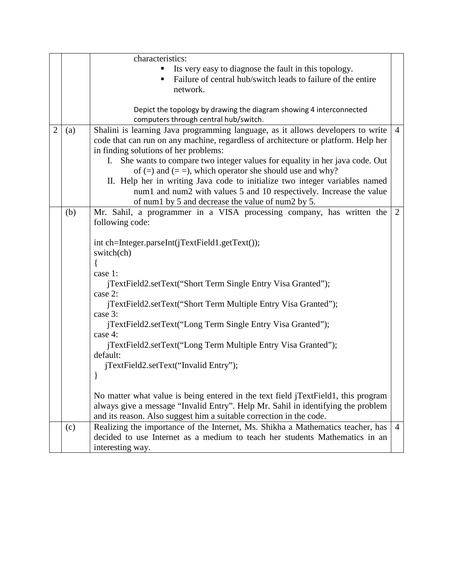|   |     | characteristics:                                                                                                                                                                                                                                                                                                                                                                                                                                                                                                                     |                |
|---|-----|--------------------------------------------------------------------------------------------------------------------------------------------------------------------------------------------------------------------------------------------------------------------------------------------------------------------------------------------------------------------------------------------------------------------------------------------------------------------------------------------------------------------------------------|----------------|
|   |     | Its very easy to diagnose the fault in this topology.<br>Failure of central hub/switch leads to failure of the entire<br>network.                                                                                                                                                                                                                                                                                                                                                                                                    |                |
|   |     | Depict the topology by drawing the diagram showing 4 interconnected<br>computers through central hub/switch.                                                                                                                                                                                                                                                                                                                                                                                                                         |                |
| 2 | (a) | Shalini is learning Java programming language, as it allows developers to write<br>code that can run on any machine, regardless of architecture or platform. Help her<br>in finding solutions of her problems:<br>She wants to compare two integer values for equality in her java code. Out<br>$\mathbf{I}$ .<br>of $(=)$ and $(==)$ , which operator she should use and why?<br>II. Help her in writing Java code to initialize two integer variables named<br>num1 and num2 with values 5 and 10 respectively. Increase the value | $\overline{4}$ |
|   | (b) | of num1 by 5 and decrease the value of num2 by 5.<br>Mr. Sahil, a programmer in a VISA processing company, has written the<br>following code:                                                                                                                                                                                                                                                                                                                                                                                        | $\overline{2}$ |
|   |     | int ch=Integer.parseInt(jTextField1.getText());<br>switch(ch)<br>case 1:<br>jTextField2.setText("Short Term Single Entry Visa Granted");<br>case 2:<br>jTextField2.setText("Short Term Multiple Entry Visa Granted");<br>case 3:<br>jTextField2.setText("Long Term Single Entry Visa Granted");<br>case 4:<br>jTextField2.setText("Long Term Multiple Entry Visa Granted");<br>default:<br>jTextField2.setText("Invalid Entry");<br>ł                                                                                                |                |
|   |     | No matter what value is being entered in the text field jTextField1, this program<br>always give a message "Invalid Entry". Help Mr. Sahil in identifying the problem<br>and its reason. Also suggest him a suitable correction in the code.                                                                                                                                                                                                                                                                                         |                |
|   | (c) | Realizing the importance of the Internet, Ms. Shikha a Mathematics teacher, has<br>decided to use Internet as a medium to teach her students Mathematics in an<br>interesting way.                                                                                                                                                                                                                                                                                                                                                   | $\overline{4}$ |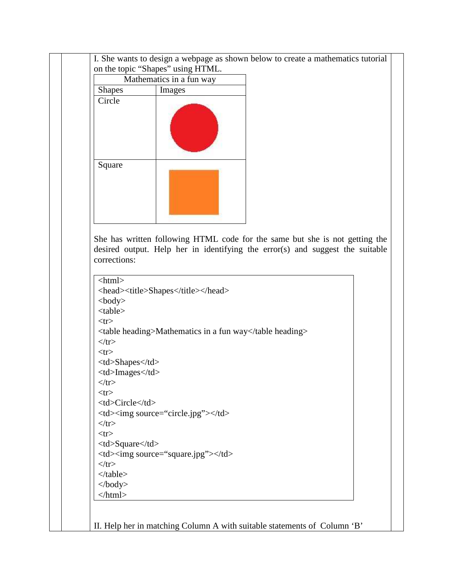|                                                                          | on the topic "Shapes" using HTML.                                             |                                                    |                            |  |
|--------------------------------------------------------------------------|-------------------------------------------------------------------------------|----------------------------------------------------|----------------------------|--|
|                                                                          | Mathematics in a fun way                                                      |                                                    |                            |  |
| <b>Shapes</b><br>Circle                                                  | Images                                                                        |                                                    |                            |  |
| Square                                                                   |                                                                               |                                                    |                            |  |
| corrections:<br><html></html>                                            | desired output. Help her in identifying the error(s) and suggest the suitable |                                                    |                            |  |
|                                                                          | <head><title>Shapes</title></head>                                            |                                                    |                            |  |
| $<$ body $>$<br><table><br/><math>&lt;</math>tr<math>&gt;</math></table> |                                                                               |                                                    |                            |  |
| $\langle tr \rangle$<br>$<$ tr $>$<br><td>Shapes</td>                    | Shapes                                                                        | <table heading="">Mathematics in a fun way</table> |                            |  |
| <td>Images</td><br>$\langle tr \rangle$<br>$<$ tr $>$                    | Images                                                                        |                                                    |                            |  |
| <td>Circle</td><br>$\langle tr \rangle$                                  | Circle                                                                        | <td><img source="circle.jpg"/></td>                | <img source="circle.jpg"/> |  |
| $<$ tr $>$<br><td>Square</td><br>$\langle tr \rangle$                    | Square                                                                        | <td><img source="square.jpg"/></td>                | <img source="square.jpg"/> |  |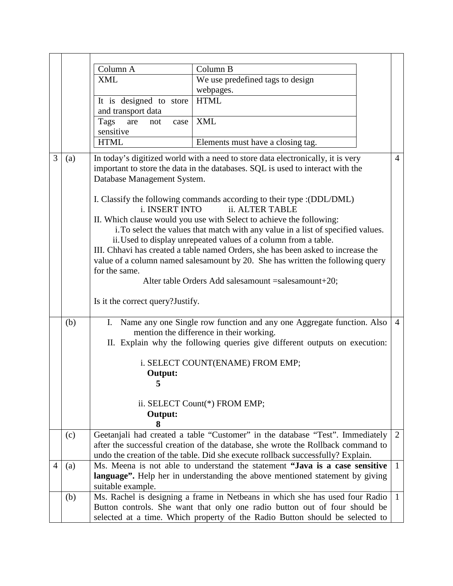|                |     | Column A                                                                     | Column B                                                                         |                |  |  |
|----------------|-----|------------------------------------------------------------------------------|----------------------------------------------------------------------------------|----------------|--|--|
|                |     | <b>XML</b>                                                                   | We use predefined tags to design                                                 |                |  |  |
|                |     |                                                                              | webpages.                                                                        |                |  |  |
|                |     | It is designed to store                                                      | <b>HTML</b>                                                                      |                |  |  |
|                |     | and transport data                                                           |                                                                                  |                |  |  |
|                |     | Tags<br>are<br>not<br>case                                                   | <b>XML</b>                                                                       |                |  |  |
|                |     | sensitive                                                                    |                                                                                  |                |  |  |
|                |     | <b>HTML</b>                                                                  | Elements must have a closing tag.                                                |                |  |  |
| 3              | (a) |                                                                              | In today's digitized world with a need to store data electronically, it is very  | $\overline{4}$ |  |  |
|                |     |                                                                              | important to store the data in the databases. SQL is used to interact with the   |                |  |  |
|                |     | Database Management System.                                                  |                                                                                  |                |  |  |
|                |     |                                                                              |                                                                                  |                |  |  |
|                |     |                                                                              | I. Classify the following commands according to their type : (DDL/DML)           |                |  |  |
|                |     | i. INSERT INTO                                                               | ii. ALTER TABLE                                                                  |                |  |  |
|                |     |                                                                              | II. Which clause would you use with Select to achieve the following:             |                |  |  |
|                |     |                                                                              | i. To select the values that match with any value in a list of specified values. |                |  |  |
|                |     |                                                                              | ii. Used to display unrepeated values of a column from a table.                  |                |  |  |
|                |     |                                                                              | III. Chhavi has created a table named Orders, she has been asked to increase the |                |  |  |
|                |     |                                                                              | value of a column named salesamount by 20. She has written the following query   |                |  |  |
|                |     | for the same.                                                                |                                                                                  |                |  |  |
|                |     |                                                                              | Alter table Orders Add salesamount = salesamount + 20;                           |                |  |  |
|                |     |                                                                              |                                                                                  |                |  |  |
|                |     | Is it the correct query? Justify.                                            |                                                                                  |                |  |  |
|                |     |                                                                              |                                                                                  |                |  |  |
|                | (b) |                                                                              | I. Name any one Single row function and any one Aggregate function. Also         | $\overline{4}$ |  |  |
|                |     |                                                                              | mention the difference in their working.                                         |                |  |  |
|                |     |                                                                              | II. Explain why the following queries give different outputs on execution:       |                |  |  |
|                |     |                                                                              |                                                                                  |                |  |  |
|                |     | i. SELECT COUNT(ENAME) FROM EMP;                                             |                                                                                  |                |  |  |
|                |     | Output:                                                                      |                                                                                  |                |  |  |
|                |     | 5                                                                            |                                                                                  |                |  |  |
|                |     |                                                                              |                                                                                  |                |  |  |
|                |     |                                                                              | ii. SELECT Count(*) FROM EMP;                                                    |                |  |  |
|                |     | Output:                                                                      |                                                                                  |                |  |  |
|                |     | 8                                                                            |                                                                                  |                |  |  |
|                | (c) |                                                                              | Geetanjali had created a table "Customer" in the database "Test". Immediately    | 2              |  |  |
|                |     |                                                                              | after the successful creation of the database, she wrote the Rollback command to |                |  |  |
|                |     |                                                                              | undo the creation of the table. Did she execute rollback successfully? Explain.  |                |  |  |
| $\overline{4}$ | (a) |                                                                              | Ms. Meena is not able to understand the statement "Java is a case sensitive"     | $\mathbf{1}$   |  |  |
|                |     |                                                                              | language". Help her in understanding the above mentioned statement by giving     |                |  |  |
|                |     | suitable example.                                                            |                                                                                  |                |  |  |
|                | (b) |                                                                              | Ms. Rachel is designing a frame in Netbeans in which she has used four Radio     | $\overline{1}$ |  |  |
|                |     |                                                                              | Button controls. She want that only one radio button out of four should be       |                |  |  |
|                |     | selected at a time. Which property of the Radio Button should be selected to |                                                                                  |                |  |  |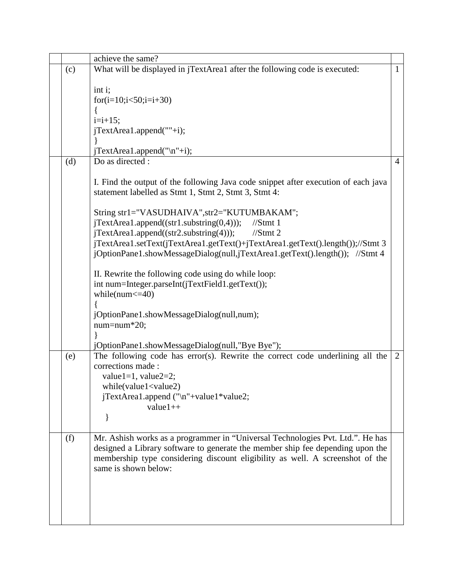|     | achieve the same?                                                                                                                                                                                                                                 |                |  |  |
|-----|---------------------------------------------------------------------------------------------------------------------------------------------------------------------------------------------------------------------------------------------------|----------------|--|--|
| (c) | What will be displayed in jTextArea1 after the following code is executed:                                                                                                                                                                        | $\mathbf{1}$   |  |  |
|     | int i;                                                                                                                                                                                                                                            |                |  |  |
|     | for(i=10;i $<50$ ;i=i+30)                                                                                                                                                                                                                         |                |  |  |
|     |                                                                                                                                                                                                                                                   |                |  |  |
|     | $i=i+15;$                                                                                                                                                                                                                                         |                |  |  |
|     | jTextArea1.append(""+i);                                                                                                                                                                                                                          |                |  |  |
|     |                                                                                                                                                                                                                                                   |                |  |  |
| (d) | jTextArea1.append("\n"+i);<br>Do as directed :                                                                                                                                                                                                    | $\overline{4}$ |  |  |
|     |                                                                                                                                                                                                                                                   |                |  |  |
|     | I. Find the output of the following Java code snippet after execution of each java<br>statement labelled as Stmt 1, Stmt 2, Stmt 3, Stmt 4:                                                                                                       |                |  |  |
|     | String str1="VASUDHAIVA", str2="KUTUMBAKAM";                                                                                                                                                                                                      |                |  |  |
|     | $jTextArea1.append((str1.substring(0,4)))$ ;<br>$//$ Stmt 1                                                                                                                                                                                       |                |  |  |
|     | $jTextArea1.append((str2.substring(4)))$ ;<br>$//$ Stmt 2                                                                                                                                                                                         |                |  |  |
|     | jTextArea1.setText(jTextArea1.getText()+jTextArea1.getText().length());//Stmt 3                                                                                                                                                                   |                |  |  |
|     | jOptionPane1.showMessageDialog(null,jTextArea1.getText().length()); //Stmt 4                                                                                                                                                                      |                |  |  |
|     | II. Rewrite the following code using do while loop:                                                                                                                                                                                               |                |  |  |
|     | int num=Integer.parseInt(jTextField1.getText());                                                                                                                                                                                                  |                |  |  |
|     | while( $num < = 40$ )                                                                                                                                                                                                                             |                |  |  |
|     |                                                                                                                                                                                                                                                   |                |  |  |
|     | jOptionPane1.showMessageDialog(null,num);                                                                                                                                                                                                         |                |  |  |
|     | $num = num * 20;$                                                                                                                                                                                                                                 |                |  |  |
|     | jOptionPane1.showMessageDialog(null,"Bye Bye");                                                                                                                                                                                                   |                |  |  |
| (e) | The following code has error(s). Rewrite the correct code underlining all the                                                                                                                                                                     | 2              |  |  |
|     | corrections made:                                                                                                                                                                                                                                 |                |  |  |
|     | value1=1, value2=2;                                                                                                                                                                                                                               |                |  |  |
|     | while(value1 <value2)< td=""><td></td></value2)<>                                                                                                                                                                                                 |                |  |  |
|     | jTextArea1.append ("\n"+value1*value2;<br>$value1++$                                                                                                                                                                                              |                |  |  |
|     |                                                                                                                                                                                                                                                   |                |  |  |
|     |                                                                                                                                                                                                                                                   |                |  |  |
| (f) | Mr. Ashish works as a programmer in "Universal Technologies Pvt. Ltd.". He has<br>designed a Library software to generate the member ship fee depending upon the<br>membership type considering discount eligibility as well. A screenshot of the |                |  |  |
|     | same is shown below:                                                                                                                                                                                                                              |                |  |  |
|     |                                                                                                                                                                                                                                                   |                |  |  |
|     |                                                                                                                                                                                                                                                   |                |  |  |
|     |                                                                                                                                                                                                                                                   |                |  |  |
|     |                                                                                                                                                                                                                                                   |                |  |  |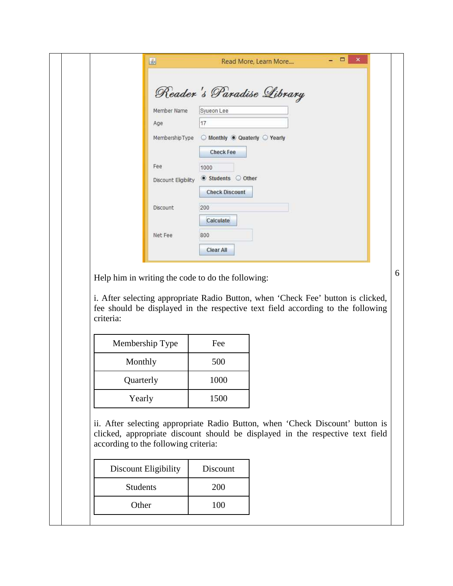|                      | Reader's Paradise Library                       |  |
|----------------------|-------------------------------------------------|--|
| Member Name          | Syueon Lee                                      |  |
| Age                  | 17                                              |  |
| MembershipType       | $\odot$ Monthly $\odot$ Quaterly $\odot$ Yearly |  |
|                      | <b>Check Fee</b>                                |  |
| Fee                  | 1000                                            |  |
| Discount Eligibility | Students Other                                  |  |
|                      | <b>Check Discount</b>                           |  |
| Discount             | 200                                             |  |
|                      | Calculate                                       |  |
| Net Fee              | 800                                             |  |
|                      | <b>Clear All</b>                                |  |

Help him in writing the code to do the following:

i. After selecting appropriate Radio Button, when 'Check Fee' button is clicked, fee should be displayed in the respective text field according to the following criteria:

6

| Membership Type | Fee  |
|-----------------|------|
| Monthly         | 500  |
| Quarterly       | 1000 |
| Yearly          | 1500 |

ii. After selecting appropriate Radio Button, when 'Check Discount' button is clicked, appropriate discount should be displayed in the respective text field according to the following criteria:

| Discount Eligibility | Discount |
|----------------------|----------|
| <b>Students</b>      | 200      |
| Other                | 100      |
|                      |          |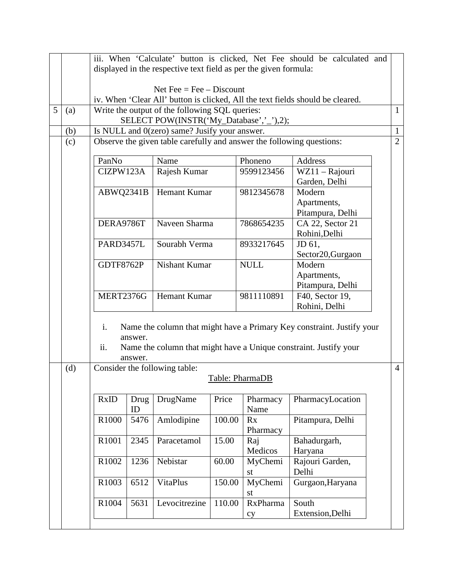|   |     | iii. When 'Calculate' button is clicked, Net Fee should be calculated and                                 |         |                               |        |                 |                                                                        |                |  |
|---|-----|-----------------------------------------------------------------------------------------------------------|---------|-------------------------------|--------|-----------------|------------------------------------------------------------------------|----------------|--|
|   |     | displayed in the respective text field as per the given formula:                                          |         |                               |        |                 |                                                                        |                |  |
|   |     |                                                                                                           |         |                               |        |                 |                                                                        |                |  |
|   |     | Net Fee = Fee $-$ Discount                                                                                |         |                               |        |                 |                                                                        |                |  |
|   |     | iv. When 'Clear All' button is clicked, All the text fields should be cleared.                            |         |                               |        |                 |                                                                        |                |  |
| 5 | (a) | Write the output of the following SQL queries:<br>$\mathbf{1}$<br>SELECT POW(INSTR('My_Database','_'),2); |         |                               |        |                 |                                                                        |                |  |
|   | (b) | $\mathbf{1}$<br>Is NULL and 0(zero) same? Jusify your answer.                                             |         |                               |        |                 |                                                                        |                |  |
|   | (c) | $\overline{2}$<br>Observe the given table carefully and answer the following questions:                   |         |                               |        |                 |                                                                        |                |  |
|   |     |                                                                                                           |         |                               |        |                 |                                                                        |                |  |
|   |     | PanNo<br>Name                                                                                             |         |                               |        | Phoneno         | Address                                                                |                |  |
|   |     | CIZPW123A                                                                                                 |         | Rajesh Kumar                  |        | 9599123456      | WZ11 - Rajouri                                                         |                |  |
|   |     |                                                                                                           |         |                               |        |                 | Garden, Delhi                                                          |                |  |
|   |     | ABWQ2341B                                                                                                 |         | Hemant Kumar                  |        | 9812345678      | Modern                                                                 |                |  |
|   |     |                                                                                                           |         |                               |        |                 | Apartments,                                                            |                |  |
|   |     | DERA9786T                                                                                                 |         | Naveen Sharma                 |        | 7868654235      | Pitampura, Delhi<br>CA 22, Sector 21                                   |                |  |
|   |     |                                                                                                           |         |                               |        |                 | Rohini, Delhi                                                          |                |  |
|   |     | PARD3457L                                                                                                 |         | Sourabh Verma                 |        | 8933217645      | JD 61,                                                                 |                |  |
|   |     |                                                                                                           |         |                               |        |                 | Sector20, Gurgaon                                                      |                |  |
|   |     | <b>GDTF8762P</b>                                                                                          |         | Nishant Kumar                 |        | <b>NULL</b>     | Modern                                                                 |                |  |
|   |     |                                                                                                           |         |                               |        |                 | Apartments,                                                            |                |  |
|   |     |                                                                                                           |         |                               |        |                 | Pitampura, Delhi                                                       |                |  |
|   |     | <b>MERT2376G</b>                                                                                          |         | Hemant Kumar                  |        | 9811110891      | F40, Sector 19,                                                        |                |  |
|   |     |                                                                                                           |         |                               |        |                 | Rohini, Delhi                                                          |                |  |
|   |     |                                                                                                           |         |                               |        |                 |                                                                        |                |  |
|   |     | i.                                                                                                        | answer. |                               |        |                 | Name the column that might have a Primary Key constraint. Justify your |                |  |
|   |     | ii.                                                                                                       |         |                               |        |                 | Name the column that might have a Unique constraint. Justify your      |                |  |
|   |     |                                                                                                           | answer. |                               |        |                 |                                                                        |                |  |
|   | (d) |                                                                                                           |         | Consider the following table: |        |                 |                                                                        | $\overline{4}$ |  |
|   |     |                                                                                                           |         |                               |        | Table: PharmaDB |                                                                        |                |  |
|   |     |                                                                                                           |         |                               |        |                 |                                                                        |                |  |
|   |     | RxID                                                                                                      | Drug    | DrugName                      | Price  | Pharmacy        | PharmacyLocation                                                       |                |  |
|   |     |                                                                                                           | ID      |                               |        | Name            |                                                                        |                |  |
|   |     | R1000                                                                                                     | 5476    | Amlodipine                    | 100.00 | Rx<br>Pharmacy  | Pitampura, Delhi                                                       |                |  |
|   |     | R1001                                                                                                     | 2345    | Paracetamol                   | 15.00  | Raj             | Bahadurgarh,                                                           |                |  |
|   |     |                                                                                                           |         |                               |        | Medicos         | Haryana                                                                |                |  |
|   |     | R1002                                                                                                     | 1236    | Nebistar                      | 60.00  | MyChemi         | Rajouri Garden,                                                        |                |  |
|   |     |                                                                                                           |         |                               |        | st              | Delhi                                                                  |                |  |
|   |     | <b>VitaPlus</b><br>R1003<br>6512                                                                          |         |                               | 150.00 | MyChemi         | Gurgaon, Haryana                                                       |                |  |
|   |     |                                                                                                           |         |                               |        | st              |                                                                        |                |  |
|   |     | R1004                                                                                                     | 5631    | Levocitrezine                 | 110.00 | RxPharma        | South                                                                  |                |  |
|   |     |                                                                                                           |         |                               |        | cy              | Extension, Delhi                                                       |                |  |
|   |     |                                                                                                           |         |                               |        |                 |                                                                        |                |  |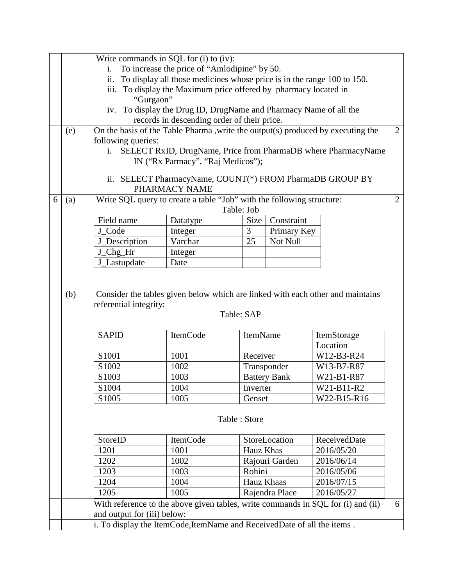|   |     | Write commands in SQL for (i) to (iv):                                  |                                                                            |              |                     |                                                                                  |                |  |
|---|-----|-------------------------------------------------------------------------|----------------------------------------------------------------------------|--------------|---------------------|----------------------------------------------------------------------------------|----------------|--|
|   |     | To increase the price of "Amlodipine" by 50.<br>$\mathbf{1}$ .          |                                                                            |              |                     |                                                                                  |                |  |
|   |     |                                                                         | ii. To display all those medicines whose price is in the range 100 to 150. |              |                     |                                                                                  |                |  |
|   |     | iii. To display the Maximum price offered by pharmacy located in        |                                                                            |              |                     |                                                                                  |                |  |
|   |     | "Gurgaon"                                                               |                                                                            |              |                     |                                                                                  |                |  |
|   |     | iv. To display the Drug ID, DrugName and Pharmacy Name of all the       |                                                                            |              |                     |                                                                                  |                |  |
|   |     |                                                                         | records in descending order of their price.                                |              |                     |                                                                                  |                |  |
|   | (e) |                                                                         |                                                                            |              |                     | On the basis of the Table Pharma , write the output(s) produced by executing the | $\overline{2}$ |  |
|   |     | following queries:                                                      |                                                                            |              |                     |                                                                                  |                |  |
|   |     | i.                                                                      |                                                                            |              |                     | SELECT RxID, DrugName, Price from PharmaDB where PharmacyName                    |                |  |
|   |     |                                                                         | IN ("Rx Parmacy", "Raj Medicos");                                          |              |                     |                                                                                  |                |  |
|   |     |                                                                         |                                                                            |              |                     | ii. SELECT PharmacyName, COUNT(*) FROM PharmaDB GROUP BY                         |                |  |
|   |     |                                                                         | PHARMACY NAME                                                              |              |                     |                                                                                  |                |  |
| 6 | (a) |                                                                         | Write SQL query to create a table "Job" with the following structure:      |              |                     |                                                                                  | $\overline{2}$ |  |
|   |     |                                                                         |                                                                            | Table: Job   |                     |                                                                                  |                |  |
|   |     | Field name                                                              | Datatype                                                                   | Size         | Constraint          |                                                                                  |                |  |
|   |     | J_Code                                                                  | Integer                                                                    | 3            | Primary Key         |                                                                                  |                |  |
|   |     | J_Description                                                           | Varchar                                                                    | 25           | Not Null            |                                                                                  |                |  |
|   |     | J_Chg_Hr                                                                | Integer                                                                    |              |                     |                                                                                  |                |  |
|   |     | J_Lastupdate                                                            | Date                                                                       |              |                     |                                                                                  |                |  |
|   |     |                                                                         |                                                                            |              |                     |                                                                                  |                |  |
|   |     |                                                                         |                                                                            |              |                     |                                                                                  |                |  |
|   | (b) | referential integrity:                                                  |                                                                            |              |                     | Consider the tables given below which are linked with each other and maintains   |                |  |
|   |     |                                                                         |                                                                            | Table: SAP   |                     |                                                                                  |                |  |
|   |     | <b>SAPID</b>                                                            | ItemCode                                                                   | ItemName     |                     | ItemStorage                                                                      |                |  |
|   |     |                                                                         |                                                                            |              |                     | Location                                                                         |                |  |
|   |     | S <sub>1001</sub>                                                       | 1001                                                                       | Receiver     |                     | W12-B3-R24                                                                       |                |  |
|   |     | S1002                                                                   | 1002                                                                       |              | Transponder         | W13-B7-R87                                                                       |                |  |
|   |     | S1003                                                                   | 1003                                                                       |              | <b>Battery Bank</b> | W21-B1-R87                                                                       |                |  |
|   |     | S1004                                                                   | 1004                                                                       | Inverter     |                     | W21-B11-R2                                                                       |                |  |
|   |     | S1005                                                                   | 1005                                                                       | Genset       |                     | W22-B15-R16                                                                      |                |  |
|   |     |                                                                         |                                                                            |              |                     |                                                                                  |                |  |
|   |     |                                                                         |                                                                            | Table: Store |                     |                                                                                  |                |  |
|   |     | StoreID                                                                 | <b>ItemCode</b>                                                            |              | StoreLocation       | ReceivedDate                                                                     |                |  |
|   |     | 1201                                                                    | 1001                                                                       | Hauz Khas    |                     | 2016/05/20                                                                       |                |  |
|   |     | 1202                                                                    | 1002                                                                       |              | Rajouri Garden      | 2016/06/14                                                                       |                |  |
|   |     | 1203                                                                    | 1003                                                                       | Rohini       |                     | 2016/05/06                                                                       |                |  |
|   |     | 1204                                                                    | 1004                                                                       | Hauz Khaas   |                     | 2016/07/15                                                                       |                |  |
|   |     | 1205                                                                    | 1005                                                                       |              | Rajendra Place      | 2016/05/27                                                                       |                |  |
|   |     |                                                                         |                                                                            |              |                     | With reference to the above given tables, write commands in SQL for (i) and (ii) | 6              |  |
|   |     | and output for (iii) below:                                             |                                                                            |              |                     |                                                                                  |                |  |
|   |     |                                                                         |                                                                            |              |                     |                                                                                  |                |  |
|   |     | i. To display the ItemCode, ItemName and ReceivedDate of all the items. |                                                                            |              |                     |                                                                                  |                |  |